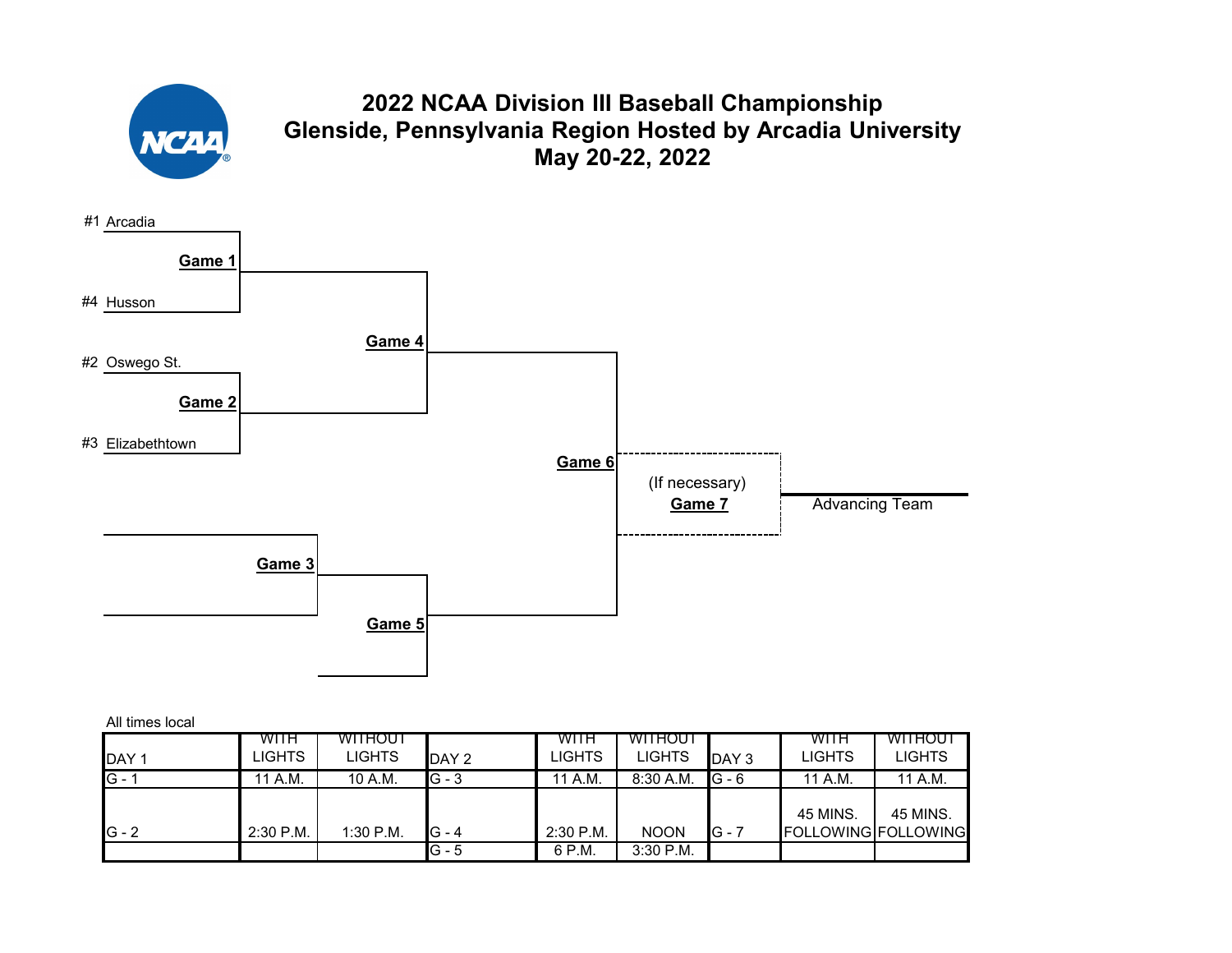

# **2022 NCAA Division III Baseball Championship Glenside, Pennsylvania Region Hosted by Arcadia University May 20-22, 2022**



| All times local |  |  |  |
|-----------------|--|--|--|
|-----------------|--|--|--|

| DAY <sub>1</sub> | <b>WITH</b><br>LIGHTS | <b>WITHOUT</b><br><b>LIGHTS</b> | DAY 2              | WITH<br>LIGHTS      | <b>WITHOUT</b><br><b>LIGHTS</b> | DAY <sub>3</sub> | WITH<br>LIGHTS                  | WITHOUT<br>LIGHTS |
|------------------|-----------------------|---------------------------------|--------------------|---------------------|---------------------------------|------------------|---------------------------------|-------------------|
| $G -$            | '1 A.M.               | 10 A.M.                         | $IG - 3$           | 11 A.M.             | $8:30$ A.M.                     | $G - 6$          | 11 A.M.                         | 11 A.M.           |
| $G - 2$          | $2:30$ P.M.           | $1:30$ P.M.                     | $G - 4$<br>$G - 5$ | 2:30 P.M.<br>6 P.M. | <b>NOON</b><br>$3:30$ P.M.      | $IG - 7$         | 45 MINS.<br>FOLLOWING FOLLOWING | 45 MINS.          |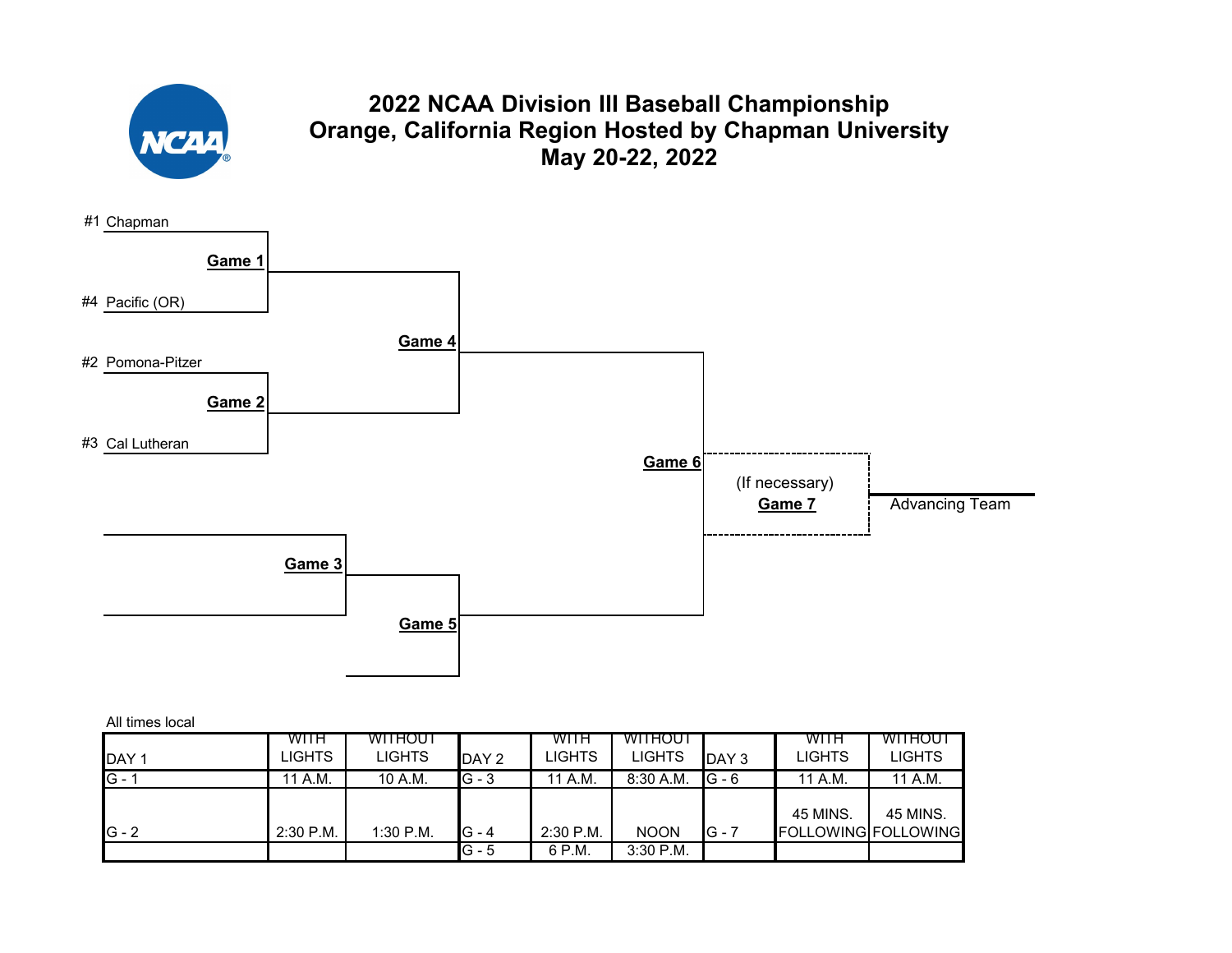

# **2022 NCAA Division III Baseball Championship Orange, California Region Hosted by Chapman University May 20-22, 2022**



| <b>IDAY1</b> | WITH<br>LIGHTS | <b>WITHOUT</b><br><b>LIGHTS</b> | DAY 2            | WITH<br>LIGHTS      | <b>WITHOUT</b><br><b>LIGHTS</b> | DAY 3    | <b>WITH</b><br>LIGHTS           | WITHOUT<br>LIGHTS |
|--------------|----------------|---------------------------------|------------------|---------------------|---------------------------------|----------|---------------------------------|-------------------|
| $G - 1$      | 11 A.M.        | 10 A.M.                         | $G - 3$          | 11 A.M.             | $8:30$ A.M.                     | $IG - 6$ | 11 A.M.                         | 11 A.M.           |
| $IG - 2$     | $2:30$ P.M.    | $1:30$ P.M.                     | IG - 4<br>IG - 5 | 2:30 P.M.<br>6 P.M. | <b>NOON</b><br>$3:30$ P.M.      | $IG - 7$ | 45 MINS.<br>FOLLOWING FOLLOWING | 45 MINS.          |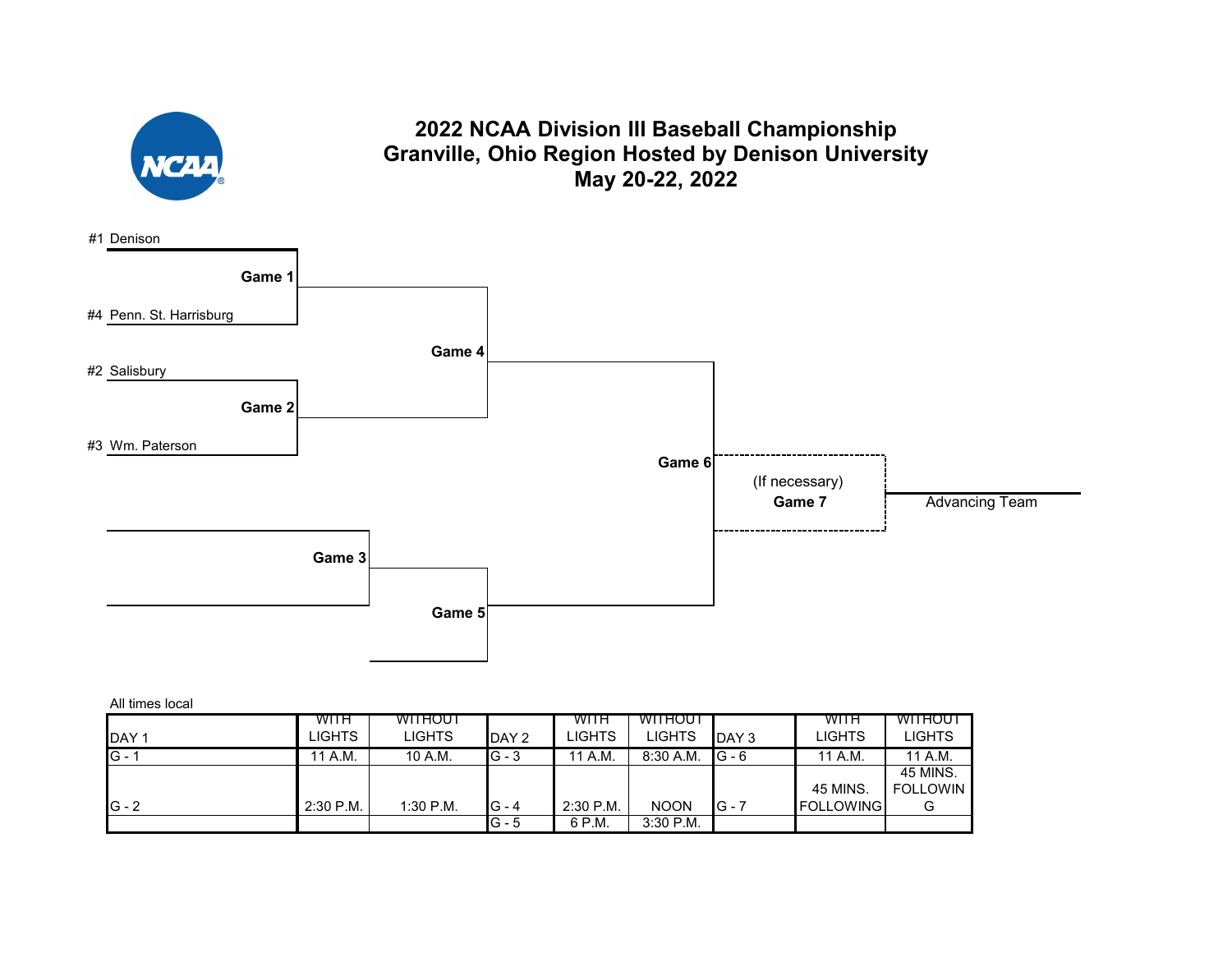

### **2022 NCAA Division III Baseball Championship Granville, Ohio Region Hosted by Denison University May 20-22, 2022**



|                  | <b>WITH</b> | WITHOUT       |         | WITH          | <b>WITHOUT</b> |                  | WITH             | WITHOUT       |
|------------------|-------------|---------------|---------|---------------|----------------|------------------|------------------|---------------|
| DAY <sub>1</sub> | LIGHTS      | <b>LIGHTS</b> | DAY 2   | <b>LIGHTS</b> | <b>LIGHTS</b>  | DAY <sub>3</sub> | LIGHTS           | <b>LIGHTS</b> |
| $IG - 1$         | 11 A.M.     | 10 A.M.       | $G - 3$ | 11 A.M.       | $8:30$ A.M.    | $G - 6$          | 11 A.M.          | 11 A.M.       |
|                  |             |               |         |               |                |                  |                  | 45 MINS.      |
|                  |             |               |         |               |                |                  | 45 MINS.         | FOLLOWIN      |
| $IG - 2$         | $2:30$ P.M. | 1:30 P.M.     | IG - 4  | $2:30$ P.M.   | <b>NOON</b>    | $G - 7$          | <b>FOLLOWING</b> |               |
|                  |             |               | G - 5   | 6 P.M.        | 3:30 P.M.      |                  |                  |               |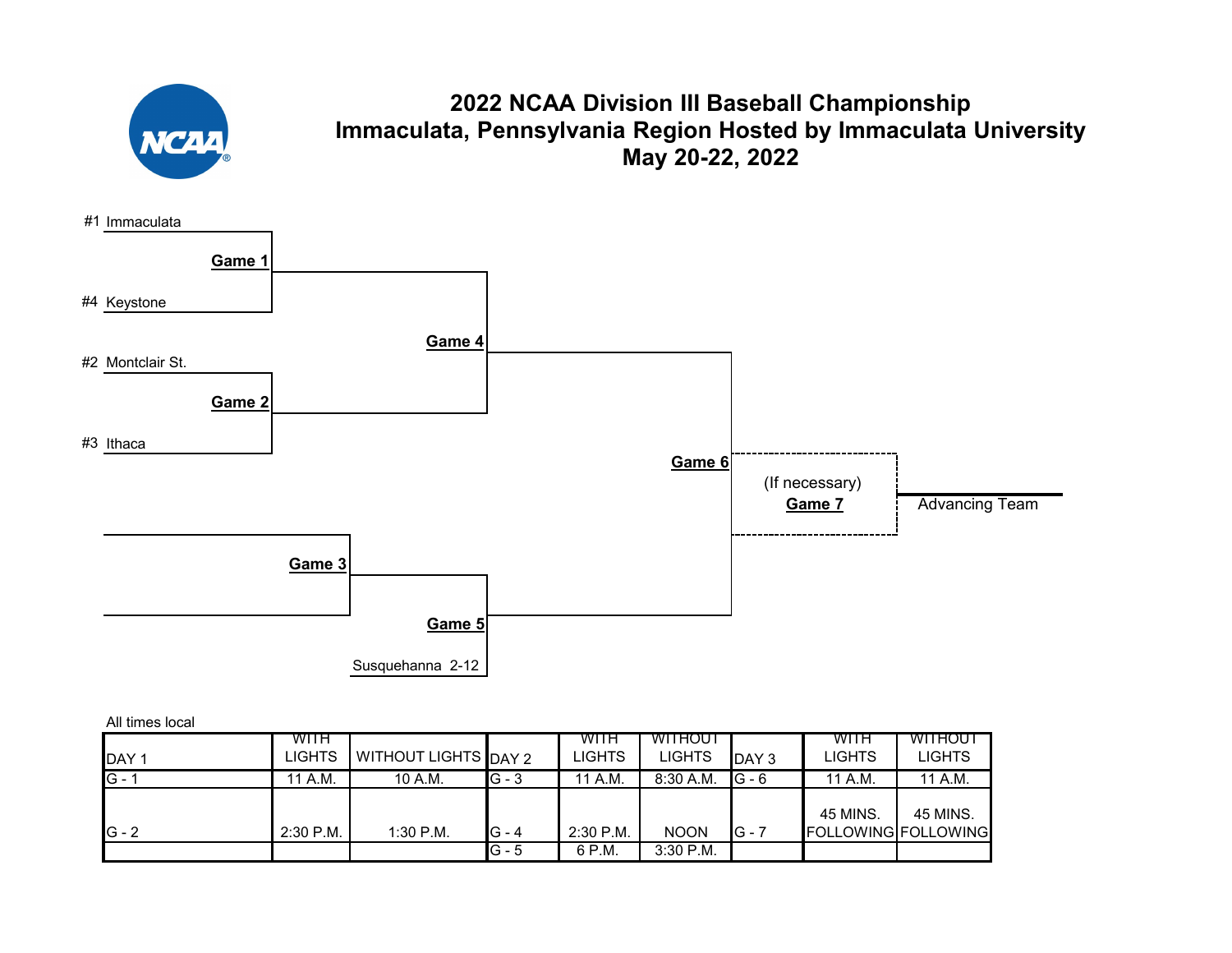

# **2022 NCAA Division III Baseball Championship Immaculata, Pennsylvania Region Hosted by Immaculata University May 20-22, 2022**



|                  | WITH          |                             |         | WITH      | <b>WITHOUT</b> |          | WITH     | WITHOUT             |
|------------------|---------------|-----------------------------|---------|-----------|----------------|----------|----------|---------------------|
| DAY <sub>1</sub> | <b>LIGHTS</b> | <b>WITHOUT LIGHTS DAY 2</b> |         | LIGHTS    | <b>LIGHTS</b>  | DAY 3    | LIGHTS   | LIGHTS              |
| $G - 1$          | A.M.<br>11    | 10 A.M.                     | $G - 3$ | 11 A.M.   | $8:30$ A.M.    | $IG - 6$ | 11 A.M.  | 11 A.M.             |
|                  |               |                             |         |           |                |          |          |                     |
|                  |               |                             |         |           |                |          | 45 MINS. | 45 MINS.            |
| $G - 2$          | $2:30$ P.M.   | $1:30$ P.M.                 | $G - 4$ | 2:30 P.M. | <b>NOON</b>    | $IG - 7$ |          | FOLLOWING FOLLOWING |
|                  |               |                             | G - 5   | 6 P.M.    | $3:30$ P.M.    |          |          |                     |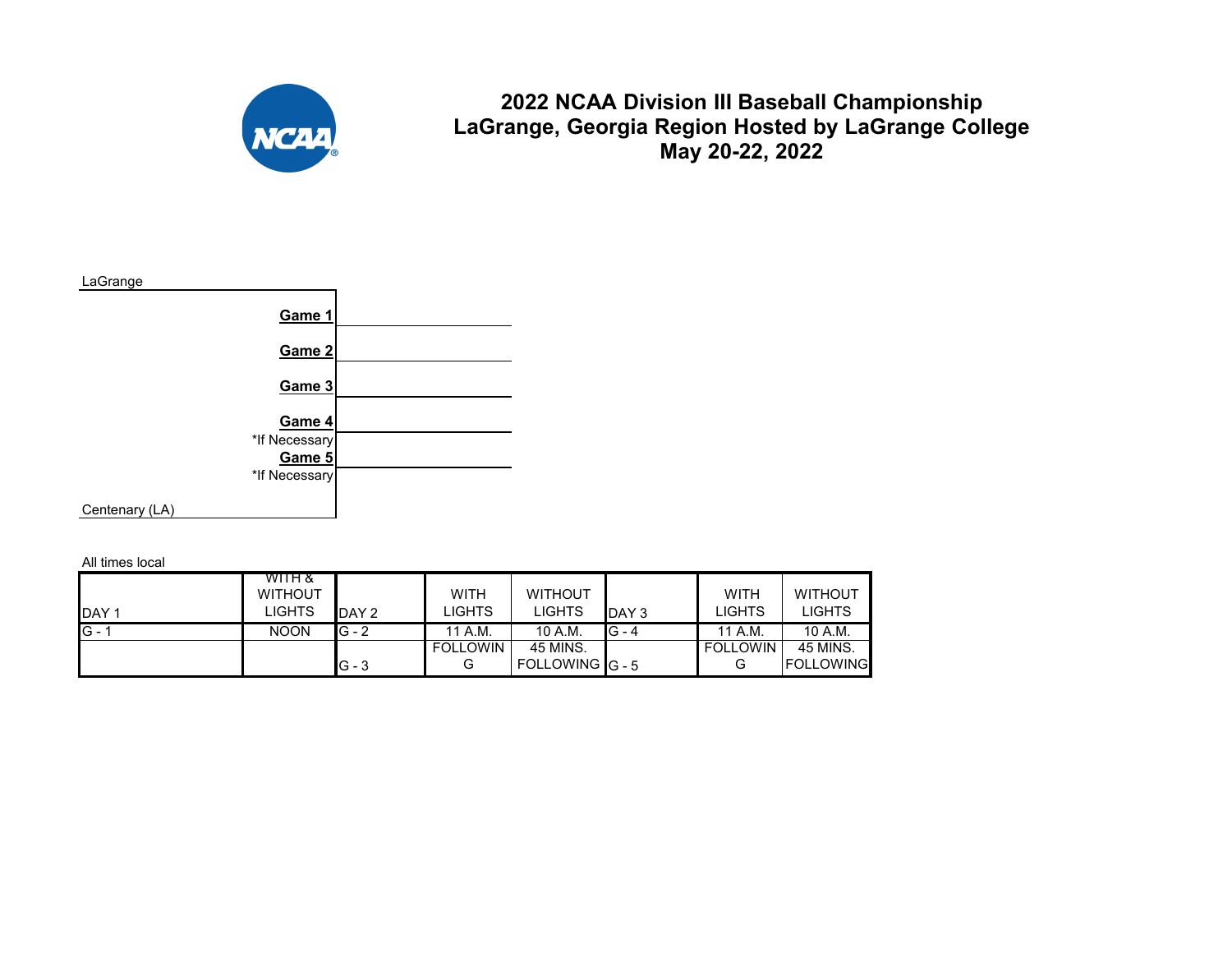

### **2022 NCAA Division III Baseball Championship LaGrange, Georgia Region Hosted by LaGrange College May 20-22, 2022**



All times local

|              | WITH &         |         |                 |                |         |                 |                  |
|--------------|----------------|---------|-----------------|----------------|---------|-----------------|------------------|
|              | <b>WITHOUT</b> |         | <b>WITH</b>     | <b>WITHOUT</b> |         | WITH            | <b>WITHOUT</b>   |
| <b>IDAY1</b> | LIGHTS         | DAY 2   | LIGHTS          | <b>LIGHTS</b>  | DAY 3   | LIGHTS          | LIGHTS           |
| $G -$        | <b>NOON</b>    | $G - 2$ | 11 A.M.         | 10 A.M.        | $G - 4$ | 11 A.M.         | 10 A.M.          |
|              |                |         | <b>FOLLOWIN</b> | 45 MINS.       |         | <b>FOLLOWIN</b> | 45 MINS.         |
|              |                | $G - 3$ | G               | FOLLOWING G-5  |         | G               | <b>FOLLOWING</b> |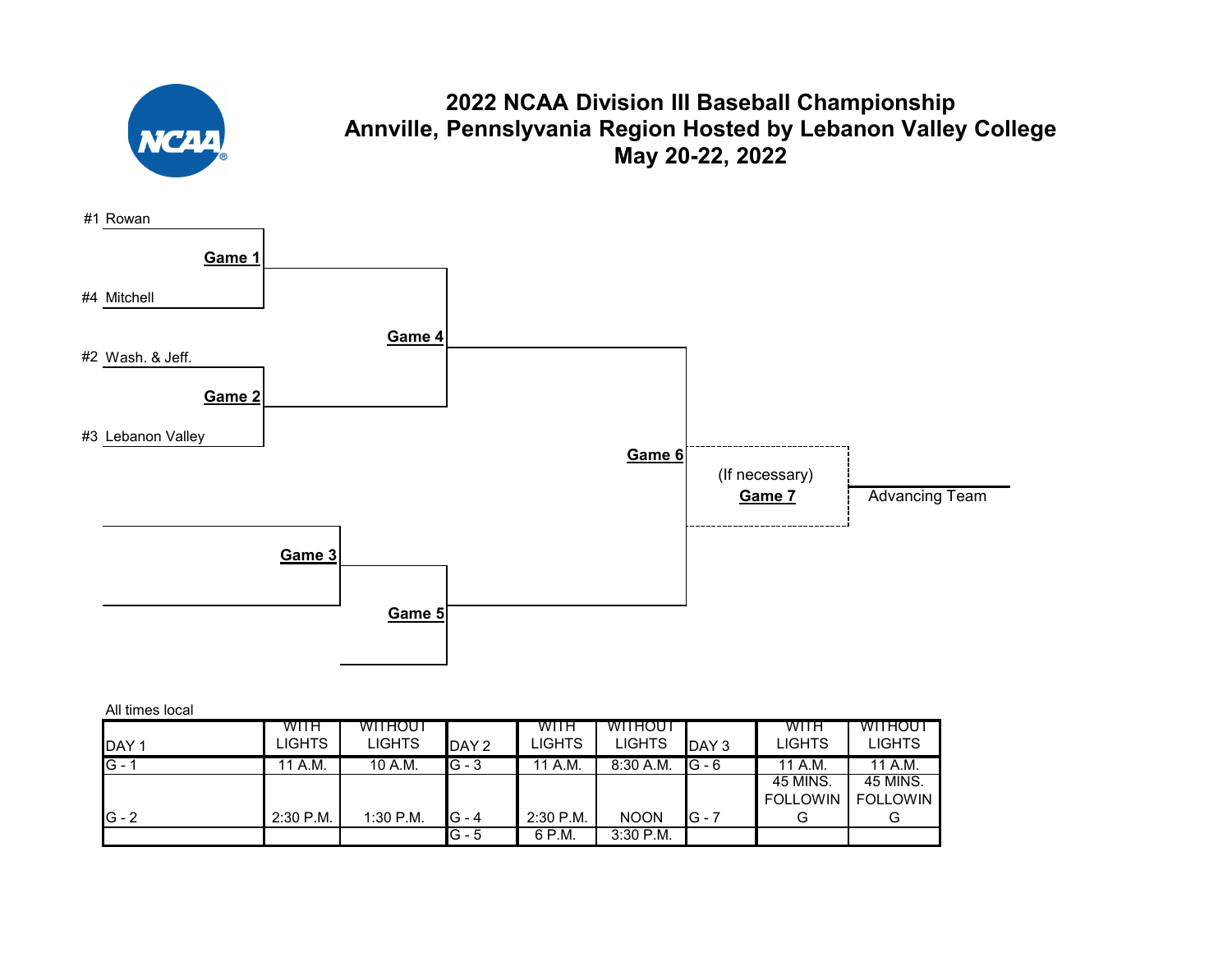

### **2022 NCAA Division III Baseball Championship Annville, Pennslyvania Region Hosted by Lebanon Valley College May 20-22, 2022**



| All times local |  |
|-----------------|--|
|                 |  |

|                  | WITH        | <b>WITHOUT</b> |         | WITH        | <b>WITHOUT</b> |         | WITH            | WITHOUT         |
|------------------|-------------|----------------|---------|-------------|----------------|---------|-----------------|-----------------|
| DAY <sub>1</sub> | LIGHTS      | <b>LIGHTS</b>  | DAY 2   | LIGHTS      | <b>LIGHTS</b>  | DAY 3   | LIGHTS          | LIGHTS          |
| $G -$            | 11 A.M.     | 10 A.M.        | $G - 3$ | 11 A.M.     | $8:30$ A.M.    | $G - 6$ | 11 A.M.         | 11 A.M.         |
|                  |             |                |         |             |                |         | 45 MINS.        | 45 MINS.        |
|                  |             |                |         |             |                |         | <b>FOLLOWIN</b> | <b>FOLLOWIN</b> |
| $G - 2$          | $2:30$ P.M. | 1:30 P.M.      | G - 4   | $2:30$ P.M. | <b>NOON</b>    | $G - 7$ | G               |                 |
|                  |             |                | IG - 5  | 6 P.M.      | $3:30$ P.M.    |         |                 |                 |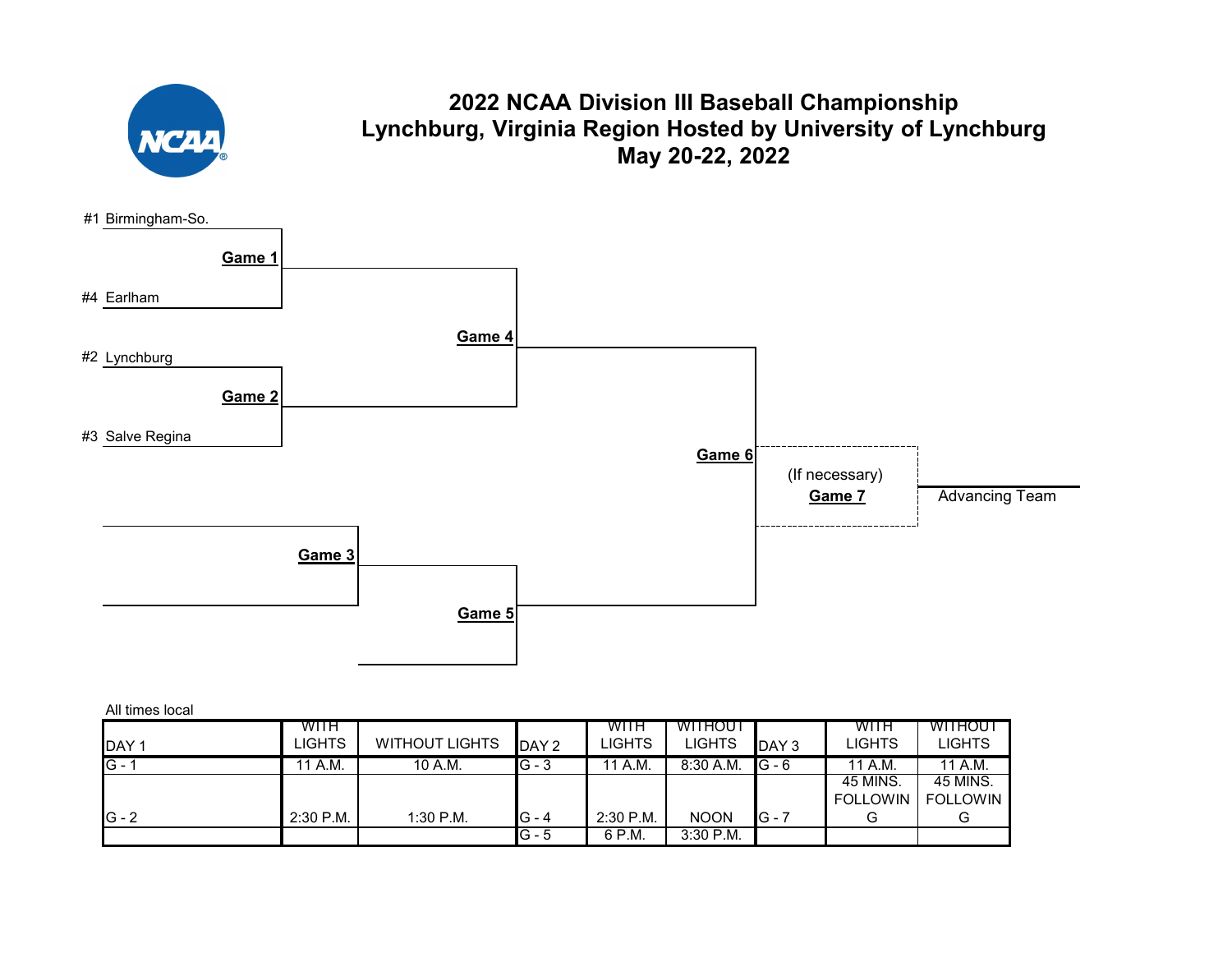

### **2022 NCAA Division III Baseball Championship Lynchburg, Virginia Region Hosted by University of Lynchburg May 20-22, 2022**



| All times local  |             |                       |         |               |                |         |                 |                 |
|------------------|-------------|-----------------------|---------|---------------|----------------|---------|-----------------|-----------------|
|                  | WITH        |                       |         | WITH          | <b>WITHOUT</b> |         | WITH            | <b>WITHOUT</b>  |
| DAY <sub>1</sub> | LIGHTS      | <b>WITHOUT LIGHTS</b> | DAY 2   | <b>LIGHTS</b> | LIGHTS         | DAY 3   | LIGHTS          | <b>LIGHTS</b>   |
| $G - 1$          | 11 A.M.     | 10 A.M.               | $G - 3$ | 11 A.M.       | $8:30$ A.M.    | $G - 6$ | 11 A.M.         | 11 A.M.         |
|                  |             |                       |         |               |                |         | 45 MINS.        | 45 MINS.        |
|                  |             |                       |         |               |                |         | <b>FOLLOWIN</b> | <b>FOLLOWIN</b> |
| $G - 2$          | $2:30$ P.M. | $1:30$ P.M.           | $G - 4$ | $2:30$ P.M.   | <b>NOON</b>    | IG - 7  | G               |                 |
|                  |             |                       | IG - 5  | 6 P.M.        | 3:30 P.M.      |         |                 |                 |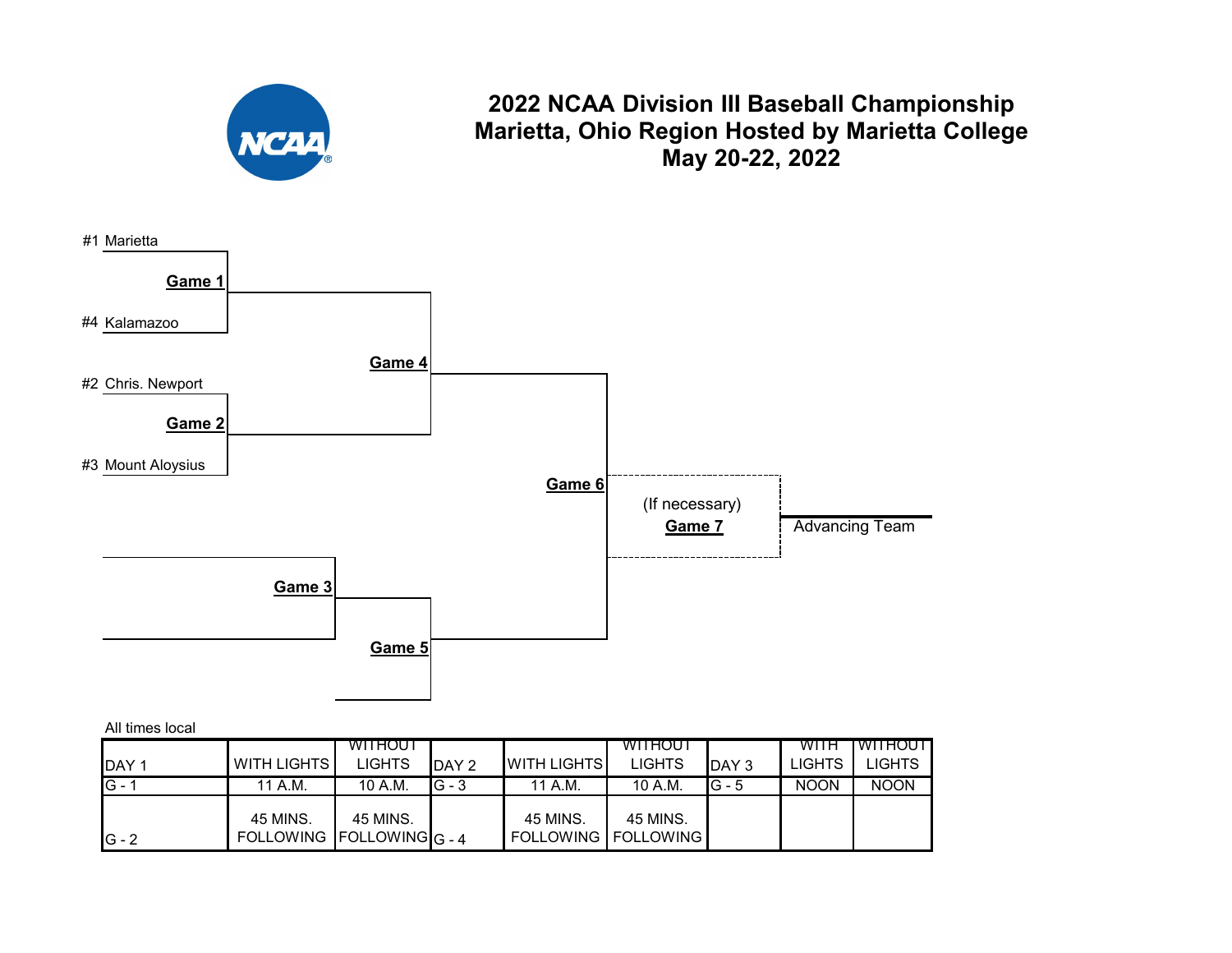

### **2022 NCAA Division III Baseball Championship Marietta, Ohio Region Hosted by Marietta College May 20-22, 2022**



#### All times local

|               |                                         | <b>WITHOUT</b> |                  |                                          | <b>WITHOUT</b> |          | <b>WITH</b>   | <b>IWITHOUT</b> |
|---------------|-----------------------------------------|----------------|------------------|------------------------------------------|----------------|----------|---------------|-----------------|
| <b>IDAY1</b>  | <b>WITH LIGHTS</b>                      | <b>LIGHTS</b>  | DAY <sub>2</sub> | <b>WITH LIGHTS</b>                       | <b>LIGHTS</b>  | DAY 3    | <b>LIGHTS</b> | LIGHTS          |
| <b>IG</b> - 1 | 11 A.M.                                 | 10 A.M.        | $G - 3$          | 11 A.M.                                  | 10 A.M.        | $IG - 5$ | <b>NOON</b>   | <b>NOON</b>     |
| $IG - 2$      | 45 MINS.<br>FOLLOWING   FOLLOWING G - 4 | 45 MINS.       |                  | 45 MINS.<br><b>FOLLOWING   FOLLOWING</b> | 45 MINS.       |          |               |                 |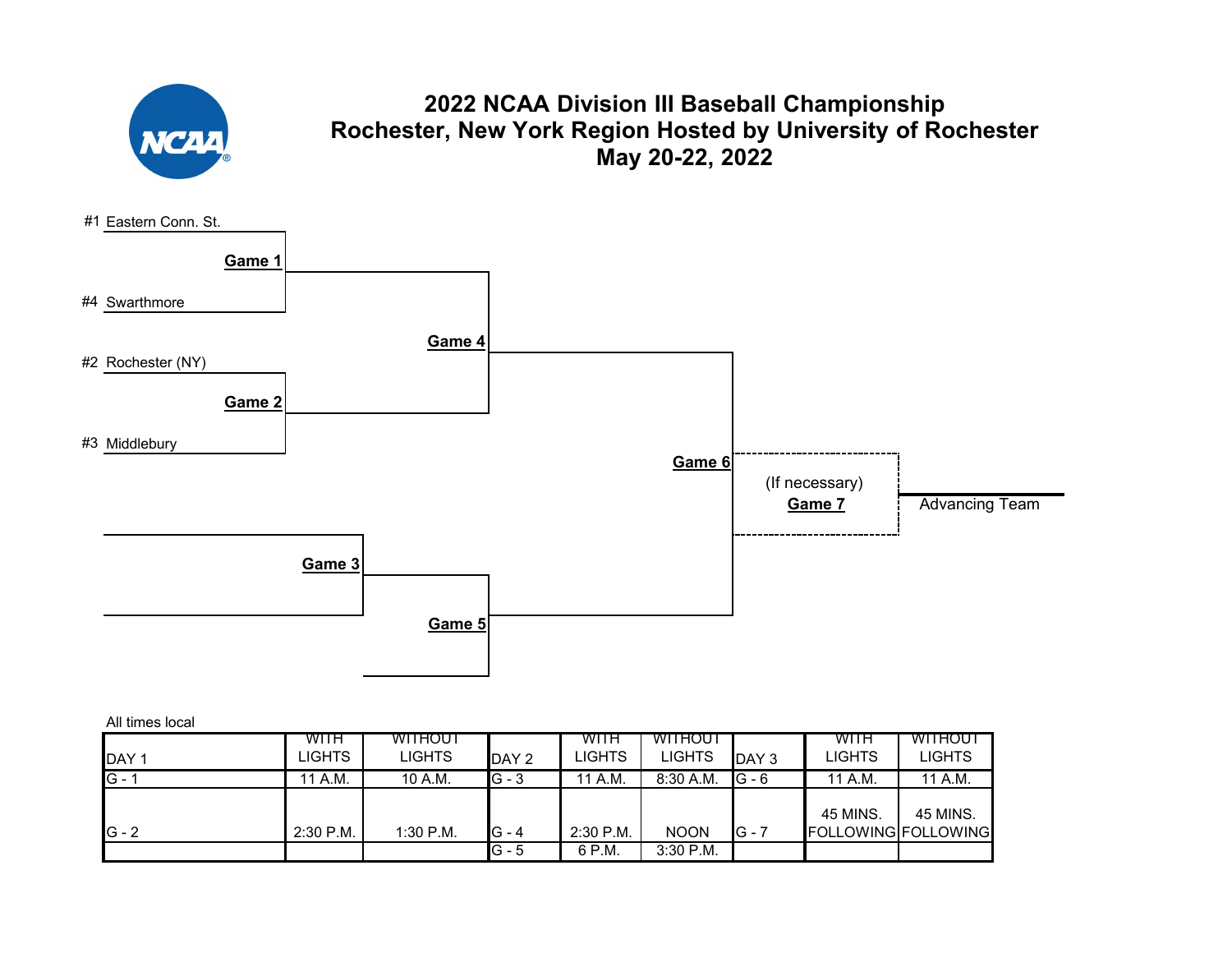

# **2022 NCAA Division III Baseball Championship Rochester, New York Region Hosted by University of Rochester May 20-22, 2022**



|                  | <b>WITH</b><br>LIGHTS | <b>WITHOUT</b><br><b>LIGHTS</b> |         | WITH<br><b>LIGHTS</b> | <b>WITHOUT</b><br><b>LIGHTS</b> |                 | WITH<br><b>LIGHTS</b> | WITHOUT<br><b>LIGHTS</b>   |
|------------------|-----------------------|---------------------------------|---------|-----------------------|---------------------------------|-----------------|-----------------------|----------------------------|
| DAY 1<br>$G - 1$ |                       |                                 | DAY 2   |                       |                                 | DAY 3<br>IG - 6 |                       |                            |
|                  | 11 A.M.               | 10 A.M.                         | $G - 3$ | 11 A.M.               | $8:30$ A.M.                     |                 | 11 A.M.               | 11 A.M.                    |
|                  |                       |                                 |         |                       |                                 |                 | 45 MINS.              | 45 MINS.                   |
| $IG - 2$         | 2:30 P.M.             | 1:30 P.M.                       | IG - 4  | 2:30 P.M.             | <b>NOON</b>                     | G - 7           |                       | <b>FOLLOWING FOLLOWING</b> |
|                  |                       |                                 | $G - 5$ | 6 P.M.                | $3:30$ P.M.                     |                 |                       |                            |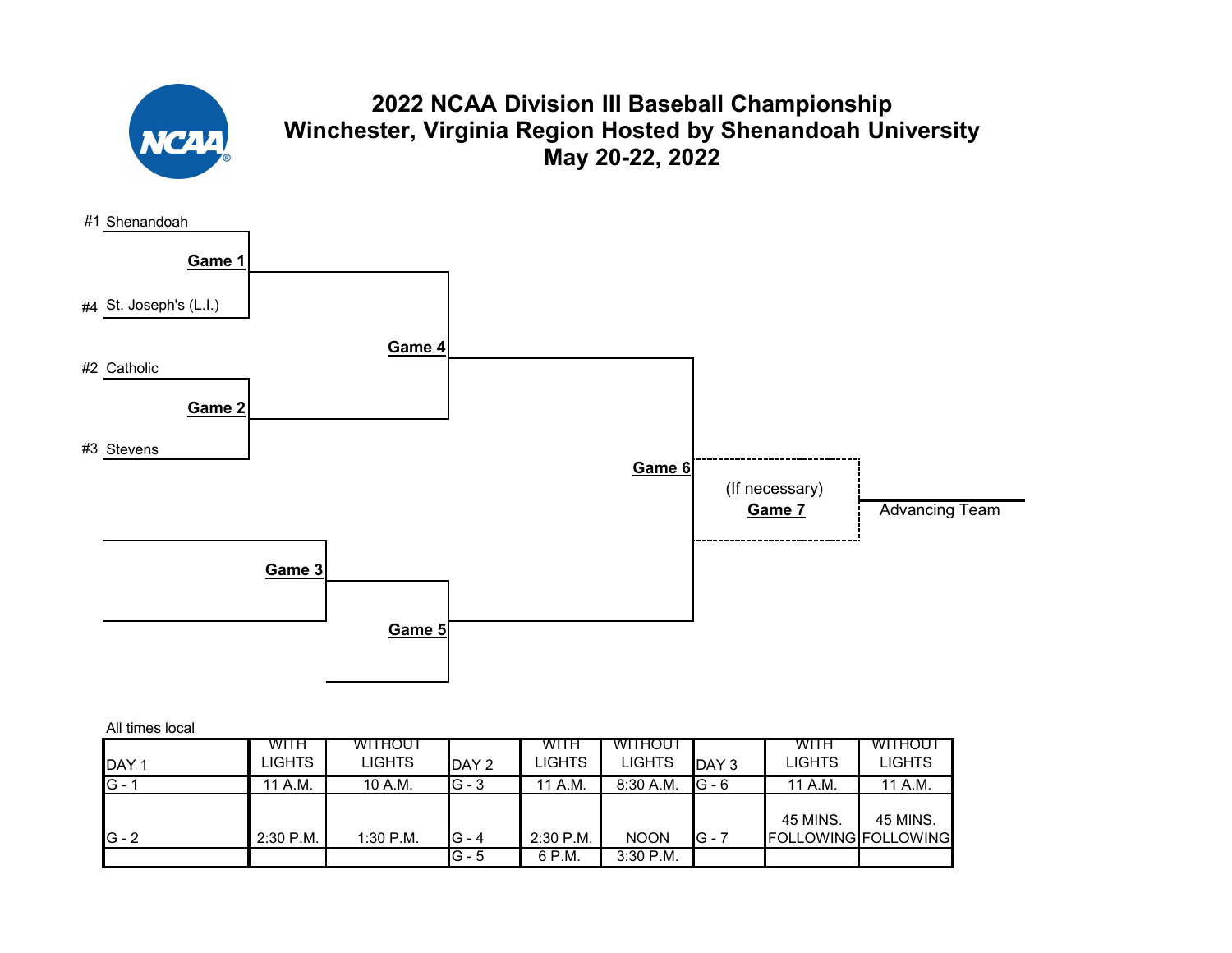

# **2022 NCAA Division III Baseball Championship Winchester, Virginia Region Hosted by Shenandoah University May 20-22, 2022**



| All times local |  |
|-----------------|--|
|                 |  |

|                  | <b>WITH</b> | WITHOUT       |         | <b>WITH</b> | <b>WITHOUT</b> |                  | WITH                       | WITHOUT  |
|------------------|-------------|---------------|---------|-------------|----------------|------------------|----------------------------|----------|
| DAY <sub>1</sub> | LIGHTS.     | <b>LIGHTS</b> | DAY 2   | LIGHTS      | LIGHTS         | DAY <sub>3</sub> | <b>LIGHTS</b>              | LIGHTS   |
| $G -$            | '1 A.M.     | 10 A.M.       | $G - 3$ | 11 A.M.     | $8:30$ A.M.    | $G - 6$          | 11 A.M.                    | 11 A.M.  |
|                  |             |               |         |             |                |                  |                            |          |
|                  |             |               |         |             |                |                  | 45 MINS.                   | 45 MINS. |
| $G - 2$          | $2:30$ P.M. | $1:30$ P.M.   | $G - 4$ | $2:30$ P.M. | <b>NOON</b>    | $G - 7$          | <b>FOLLOWING FOLLOWING</b> |          |
|                  |             |               | $G - 5$ | 6 P.M.      | $3:30$ P.M.    |                  |                            |          |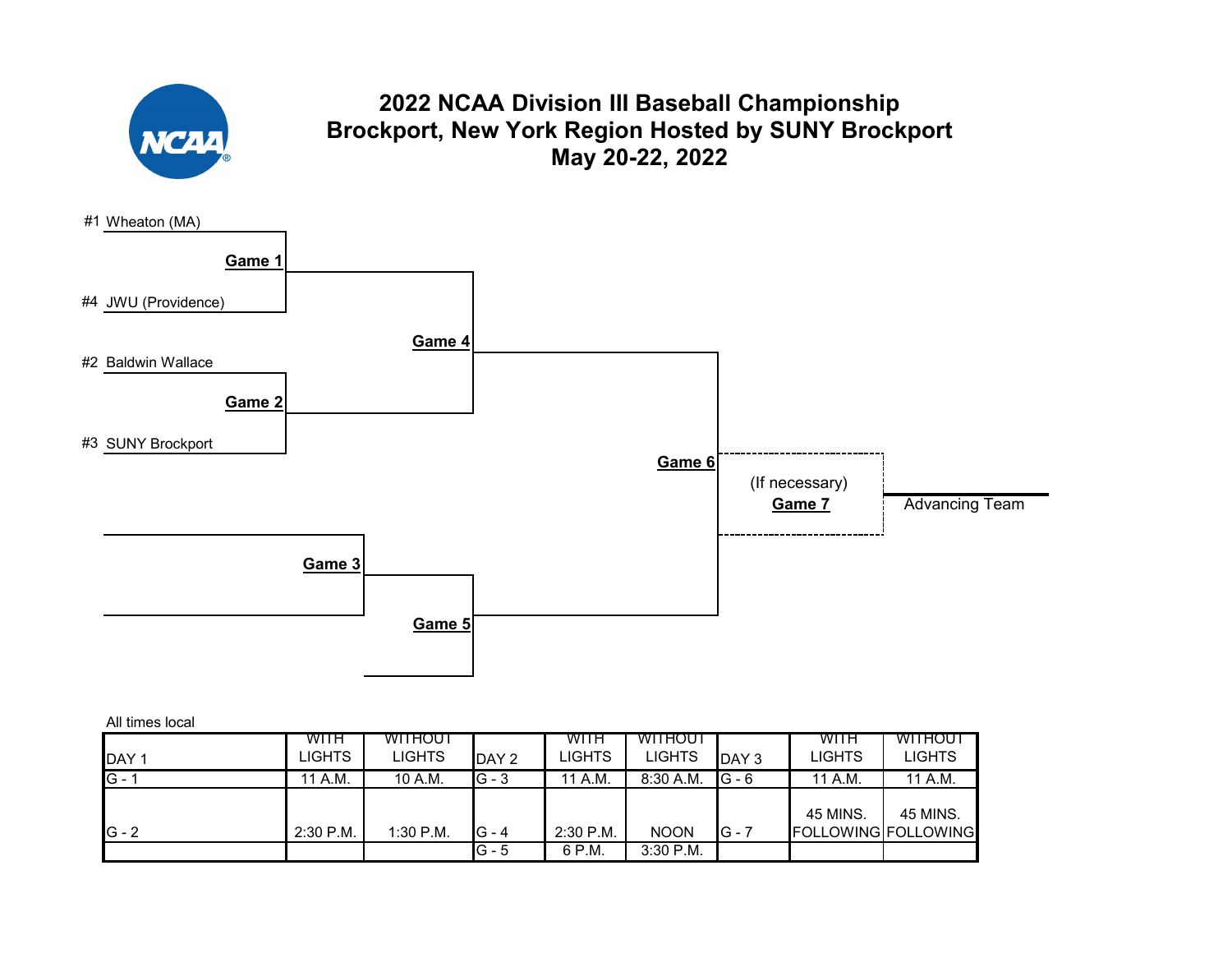

# **2022 NCAA Division III Baseball Championship Brockport, New York Region Hosted by SUNY Brockport May 20-22, 2022**



| <b>IDAY1</b> | WITH<br>LIGHTS I | WITHOUT<br><b>LIGHTS</b> | DAY 2   | <b>WITH</b><br>LIGHTS | <b>WITHOUT</b><br><b>LIGHTS</b> | DAY 3    | WITH<br>LIGHTS                         | <b>WITHOUT</b><br>LIGHTS |
|--------------|------------------|--------------------------|---------|-----------------------|---------------------------------|----------|----------------------------------------|--------------------------|
| $G -$        | 11 A.M.          | 10 A.M.                  | $G - 3$ | 11 A.M.               | $8:30$ A.M.                     | $IG - 6$ | 11 A.M.                                | 11 A.M.                  |
| $IG - 2$     | $2:30$ P.M.      | $1:30$ P.M.              | G - 4   | 2:30 P.M.             | <b>NOON</b>                     | $IG - 7$ | 45 MINS.<br><b>FOLLOWING FOLLOWING</b> | 45 MINS.                 |
|              |                  |                          | G - 5   | 6 P.M.                | $3:30$ P.M.                     |          |                                        |                          |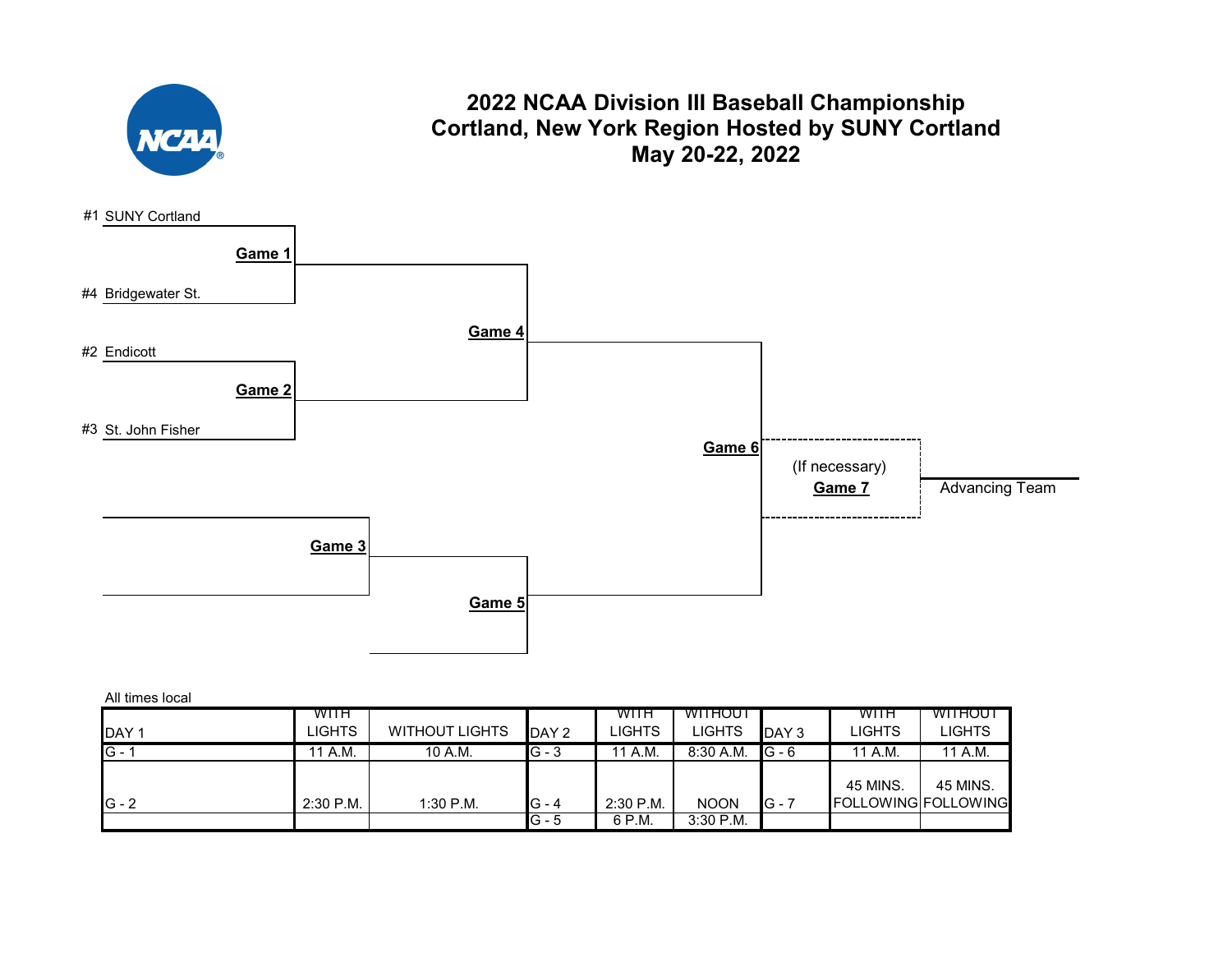

### **2022 NCAA Division III Baseball Championship Cortland, New York Region Hosted by SUNY Cortland May 20-22, 2022**



| DAY <sub>1</sub> | WITH<br>LIGHTS | <b>WITHOUT LIGHTS</b> | DAY 2   | WITH<br>LIGHTS | <b>WITHOUT</b><br>LIGHTS | DAY <sub>3</sub> | <b>WITH</b><br>LIGHTS | WITHOUT<br>LIGHTS          |
|------------------|----------------|-----------------------|---------|----------------|--------------------------|------------------|-----------------------|----------------------------|
| $G -$            | 11 A.M.        | 10 A.M.               | IG - 3  | 11 A.M.        | $8:30$ A.M.              | $IG - 6$         | 11 A.M.               | 11 A.M.                    |
|                  |                |                       |         |                |                          |                  | 45 MINS.              | 45 MINS.                   |
| $G - 2$          | $2:30$ P.M.    | $1:30$ P.M.           | $G - 4$ | $2:30$ P.M.    | <b>NOON</b>              | $G - 7$          |                       | <b>FOLLOWING FOLLOWING</b> |
|                  |                |                       | $G - 5$ | 6 P.M.         | $3:30$ P.M.              |                  |                       |                            |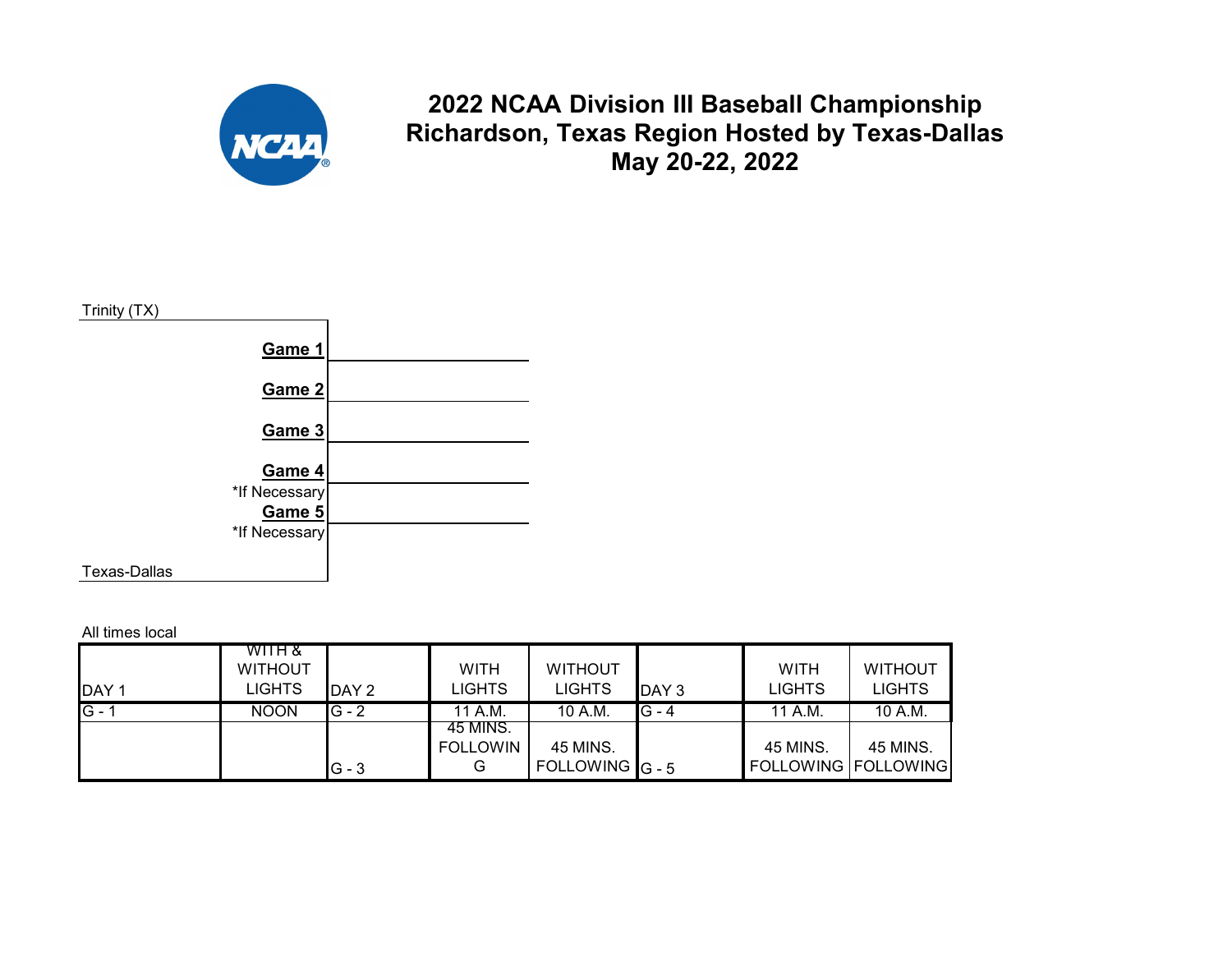

**2022 NCAA Division III Baseball Championship Richardson, Texas Region Hosted by Texas-Dallas May 20-22, 2022**



All times local

| DAY <sub>1</sub> | WITH &<br><b>WITHOUT</b><br><b>LIGHTS</b> | DAY 2   | <b>WITH</b><br>LIGHTS | <b>WITHOUT</b><br><b>LIGHTS</b> | DAY <sub>3</sub> | <b>WITH</b><br><b>LIGHTS</b> | <b>WITHOUT</b><br><b>LIGHTS</b> |
|------------------|-------------------------------------------|---------|-----------------------|---------------------------------|------------------|------------------------------|---------------------------------|
| $G - 1$          | <b>NOON</b>                               | $G - 2$ | 11 A.M.               | 10 A.M.                         | $G - 4$          | 11 A.M.                      | 10 A.M.                         |
|                  |                                           |         | 45 MINS.              |                                 |                  |                              |                                 |
|                  |                                           |         | <b>FOLLOWIN</b>       | 45 MINS.                        |                  | 45 MINS.                     | 45 MINS.                        |
|                  |                                           | $G - 3$ | G                     | FOLLOWING $G - 5$               |                  | <b>FOLLOWING FOLLOWING</b>   |                                 |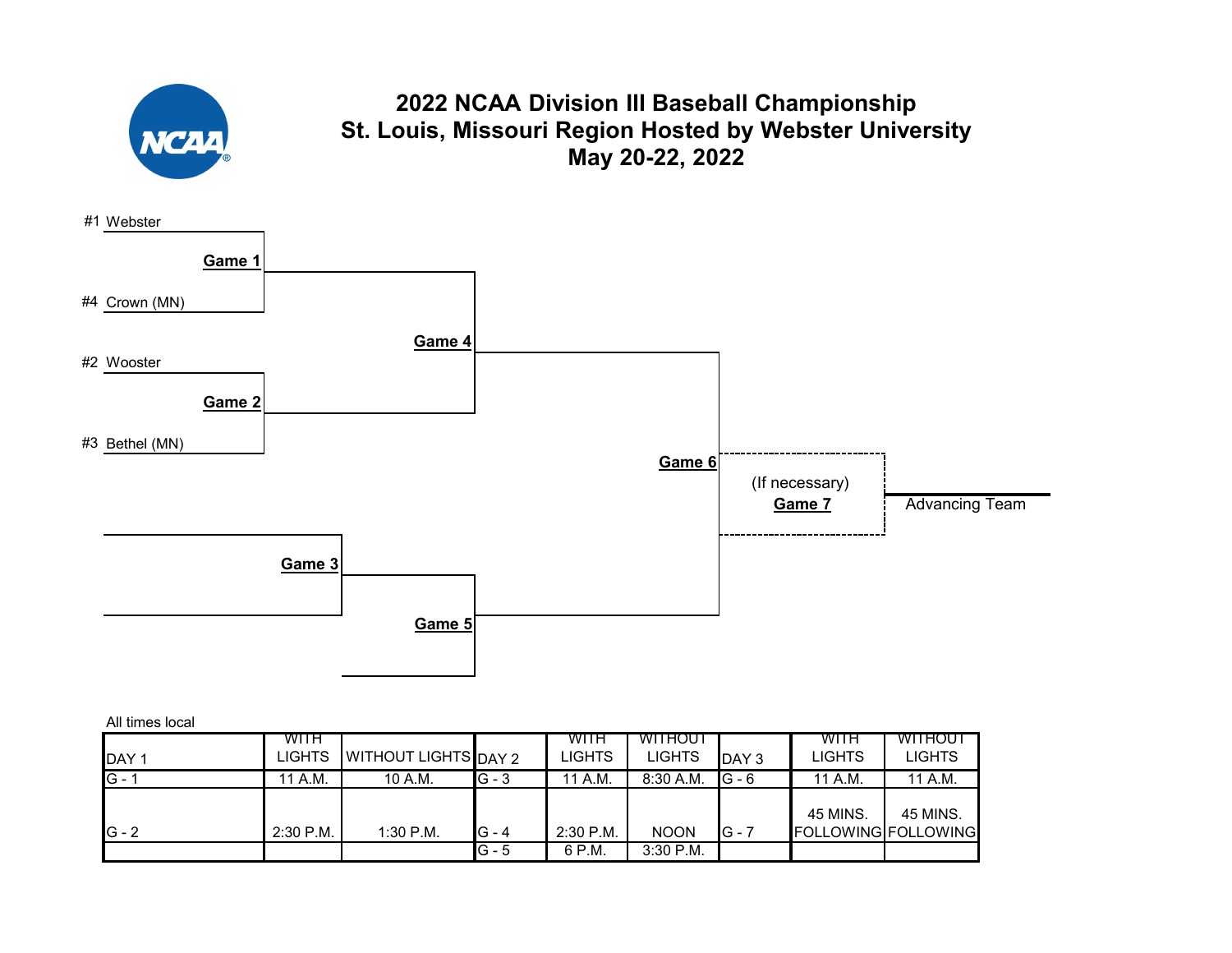

| All times local |  |
|-----------------|--|
|                 |  |

|                  | <b>WITH</b>   |                      |         | WITH      | <b>WITHOUT</b> |         | WITH                       | WITHOUT  |
|------------------|---------------|----------------------|---------|-----------|----------------|---------|----------------------------|----------|
| DAY <sub>1</sub> | <b>LIGHTS</b> | WITHOUT LIGHTS DAY 2 |         | LIGHTS    | <b>LIGHTS</b>  | DAY 3   | LIGHTS                     | LIGHTS   |
| $G -$            | 11 A.M.       | 10 A.M.              | $G - 3$ | 11 A.M.   | $8:30$ A.M.    | $G - 6$ | 11 A.M.                    | 11 A.M.  |
|                  |               |                      |         |           |                |         |                            |          |
|                  |               |                      |         |           |                |         | 45 MINS.                   | 45 MINS. |
| $IG - 2$         | $2:30$ P.M.   | 1:30 P.M.            | G - 4   | 2:30 P.M. | <b>NOON</b>    | IG - 7  | <b>FOLLOWING FOLLOWING</b> |          |
|                  |               |                      | IG - 5  | 6 P.M.    | $3:30$ P.M.    |         |                            |          |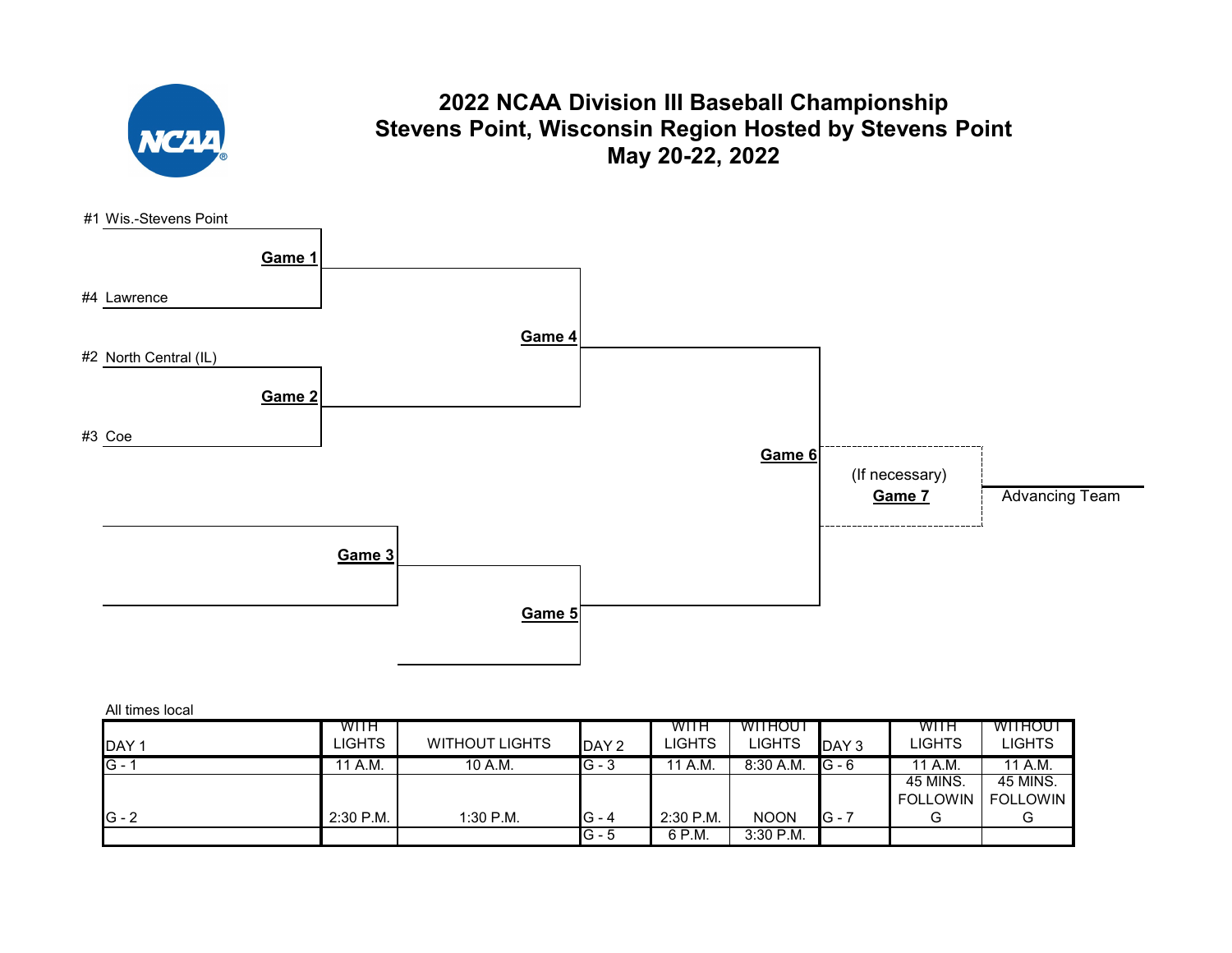

### **2022 NCAA Division III Baseball Championship Stevens Point, Wisconsin Region Hosted by Stevens Point May 20-22, 2022**



|         | WITH        |                       |         | WITH          | WITHOUT     |          | WITH            | WITHOUT         |  |  |  |  |
|---------|-------------|-----------------------|---------|---------------|-------------|----------|-----------------|-----------------|--|--|--|--|
| DAY '   | LIGHTS      | <b>WITHOUT LIGHTS</b> | DAY 2   | <b>LIGHTS</b> | LIGHTS      | DAY 3    | LIGHTS          | LIGHTS          |  |  |  |  |
| $G -$   | 11 A.M.     | 10 A.M.               | $G - 3$ | 11 A.M.       | $8:30$ A.M. | $IG - 6$ | 11 A.M.         | 11 A.M.         |  |  |  |  |
|         |             |                       |         |               |             |          | 45 MINS.        | 45 MINS.        |  |  |  |  |
|         |             |                       |         |               |             |          | <b>FOLLOWIN</b> | <b>FOLLOWIN</b> |  |  |  |  |
| $G - 2$ | $2:30$ P.M. | $1:30$ P.M.           | $G - 4$ | $2:30$ P.M.   | <b>NOON</b> | $IG -$   | G               |                 |  |  |  |  |
|         |             |                       | G - 5   | 6 P.M.        | $3:30$ P.M. |          |                 |                 |  |  |  |  |